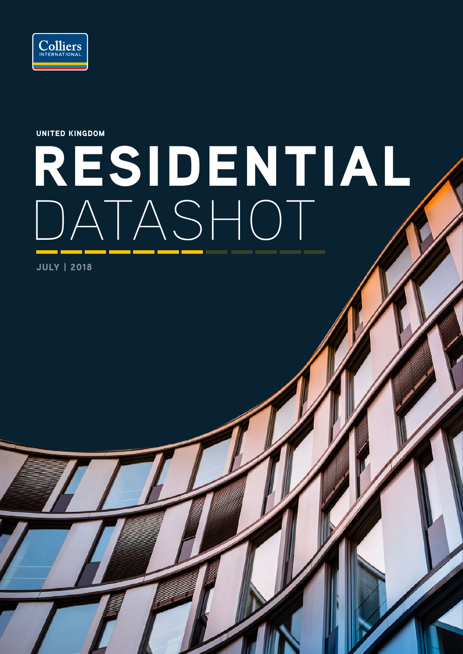

UNITED KINGDOM

# RESIDENTIAL DATASHOT

JULY | 2018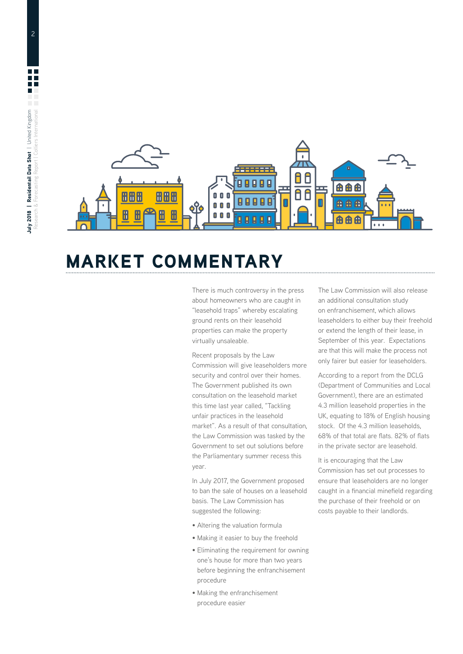2



## MARKET COMMENTARY

There is much controversy in the press about homeowners who are caught in "leasehold traps" whereby escalating ground rents on their leasehold properties can make the property virtually unsaleable.

Recent proposals by the Law Commission will give leaseholders more security and control over their homes. The Government published its own consultation on the leasehold market this time last year called, "Tackling unfair practices in the leasehold market". As a result of that consultation, the Law Commission was tasked by the Government to set out solutions before the Parliamentary summer recess this year.

In July 2017, the Government proposed to ban the sale of houses on a leasehold basis. The Law Commission has suggested the following:

- Altering the valuation formula
- Making it easier to buy the freehold
- Eliminating the requirement for owning one's house for more than two years before beginning the enfranchisement procedure
- Making the enfranchisement procedure easier

The Law Commission will also release an additional consultation study on enfranchisement, which allows leaseholders to either buy their freehold or extend the length of their lease, in September of this year. Expectations are that this will make the process not only fairer but easier for leaseholders.

According to a report from the DCLG (Department of Communities and Local Government), there are an estimated 4.3 million leasehold properties in the UK, equating to 18% of English housing stock. Of the 4.3 million leaseholds, 68% of that total are flats. 82% of flats in the private sector are leasehold.

It is encouraging that the Law Commission has set out processes to ensure that leaseholders are no longer caught in a financial minefield regarding the purchase of their freehold or on costs payable to their landlords.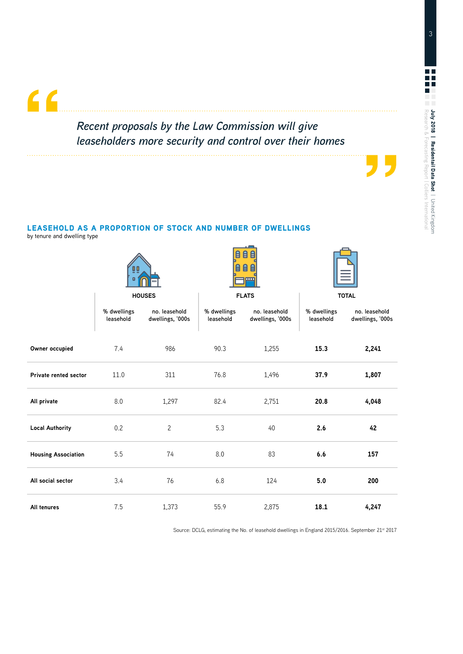### *Recent proposals by the Law Commission will give leaseholders more security and control over their homes*

 $\overline{\phantom{a}}$ 

#### LEASEHOLD AS A PROPORTION OF STOCK AND NUMBER OF DWELLINGS

by tenure and dwelling type

 $66$ 

|                              | 0 O<br><b>HOUSES</b>     |                                   | $\mathbf{p}$<br>自自<br>$\mathbf{\Theta}$<br>自自<br><b>I</b> THE<br><b>FLATS</b> |                                   | <b>TOTAL</b>             |                                   |
|------------------------------|--------------------------|-----------------------------------|-------------------------------------------------------------------------------|-----------------------------------|--------------------------|-----------------------------------|
|                              |                          |                                   |                                                                               |                                   |                          |                                   |
|                              | % dwellings<br>leasehold | no. leasehold<br>dwellings, '000s | % dwellings<br>leasehold                                                      | no. leasehold<br>dwellings, '000s | % dwellings<br>leasehold | no. leasehold<br>dwellings, '000s |
| Owner occupied               | 7.4                      | 986                               | 90.3                                                                          | 1,255                             | 15.3                     | 2,241                             |
| <b>Private rented sector</b> | 11.0                     | 311                               | 76.8                                                                          | 1,496                             | 37.9                     | 1,807                             |
| All private                  | 8.0                      | 1,297                             | 82.4                                                                          | 2,751                             | 20.8                     | 4,048                             |
| <b>Local Authority</b>       | 0.2                      | $\overline{c}$                    | 5.3<br>40                                                                     |                                   | 2.6                      | 42                                |
| <b>Housing Association</b>   | 5.5                      | 74                                | 8.0                                                                           | 83                                | 6.6                      | 157                               |
| All social sector            | 3.4                      | 76                                | 6.8                                                                           | 124                               | 5.0                      | 200                               |
| All tenures                  | 7.5                      | 1,373                             | 55.9                                                                          | 2,875                             | 18.1                     | 4,247                             |

Source: DCLG, estimating the No. of leasehold dwellings in England 2015/2016. September 21<sup>st</sup> 2017